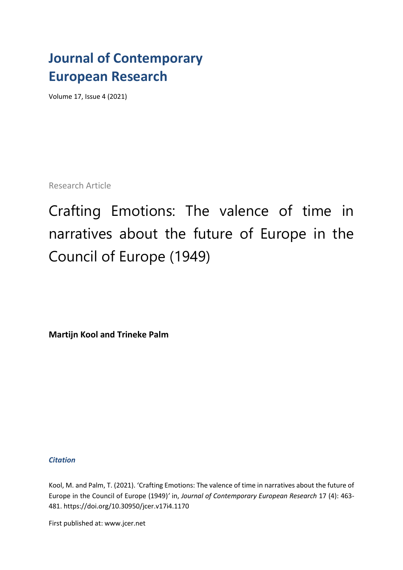## **Journal of Contemporary European Research**

Volume 17, Issue 4 (2021)

Research Article

Crafting Emotions: The valence of time in narratives about the future of Europe in the Council of Europe (1949)

**Martijn Kool and Trineke Palm**

## *Citation*

Kool, M. and Palm, T. (2021). 'Crafting Emotions: The valence of time in narratives about the future of Europe in the Council of Europe (1949)*'* in, *Journal of Contemporary European Research* 17 (4): 463- 481. [https://doi.org/1](https://doi.org/)0.30950/jcer.v17i4.1170

First published at: www.jcer.net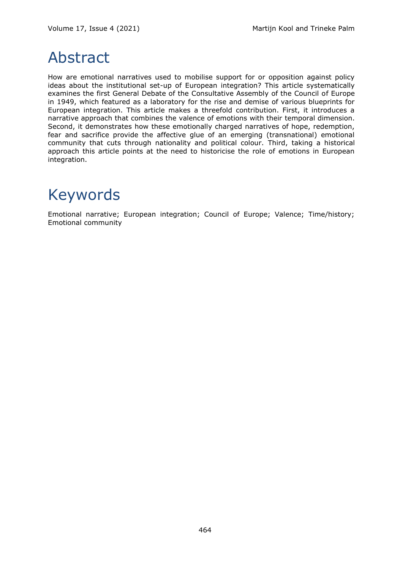## Abstract

How are emotional narratives used to mobilise support for or opposition against policy ideas about the institutional set-up of European integration? This article systematically examines the first General Debate of the Consultative Assembly of the Council of Europe in 1949, which featured as a laboratory for the rise and demise of various blueprints for European integration. This article makes a threefold contribution. First, it introduces a narrative approach that combines the valence of emotions with their temporal dimension. Second, it demonstrates how these emotionally charged narratives of hope, redemption, fear and sacrifice provide the affective glue of an emerging (transnational) emotional community that cuts through nationality and political colour. Third, taking a historical approach this article points at the need to historicise the role of emotions in European integration.

# Keywords

Emotional narrative; European integration; Council of Europe; Valence; Time/history; Emotional community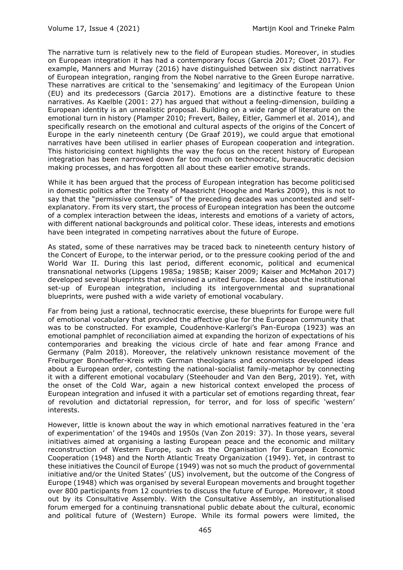The narrative turn is relatively new to the field of European studies. Moreover, in studies on European integration it has had a contemporary focus (Garcia 2017; Cloet 2017). For example, Manners and Murray (2016) have distinguished between six distinct narratives of European integration, ranging from the Nobel narrative to the Green Europe narrative. These narratives are critical to the 'sensemaking' and legitimacy of the European Union (EU) and its predecessors (Garcia 2017). Emotions are a distinctive feature to these narratives. As Kaelble (2001: 27) has argued that without a feeling-dimension, building a European identity is an unrealistic proposal. Building on a wide range of literature on the emotional turn in history (Plamper 2010; Frevert, Bailey, Eitler, Gammerl et al. 2014), and specifically research on the emotional and cultural aspects of the origins of the Concert of Europe in the early nineteenth century (De Graaf 2019), we could argue that emotional narratives have been utilised in earlier phases of European cooperation and integration. This historicising context highlights the way the focus on the recent history of European integration has been narrowed down far too much on technocratic, bureaucratic decision making processes, and has forgotten all about these earlier emotive strands.

While it has been argued that the process of European integration has become politicised in domestic politics after the Treaty of Maastricht (Hooghe and Marks 2009), this is not to say that the "permissive consensus" of the preceding decades was uncontested and selfexplanatory. From its very start, the process of European integration has been the outcome of a complex interaction between the ideas, interests and emotions of a variety of actors, with different national backgrounds and political color. These ideas, interests and emotions have been integrated in competing narratives about the future of Europe.

As stated, some of these narratives may be traced back to nineteenth century history of the Concert of Europe, to the interwar period, or to the pressure cooking period of the and World War II. During this last period, different economic, political and ecumenical transnational networks (Lipgens 1985a; 1985B; Kaiser 2009; Kaiser and McMahon 2017) developed several blueprints that envisioned a united Europe. Ideas about the institutional set-up of European integration, including its intergovernmental and supranational blueprints, were pushed with a wide variety of emotional vocabulary.

Far from being just a rational, technocratic exercise, these blueprints for Europe were full of emotional vocabulary that provided the affective glue for the European community that was to be constructed. For example, Coudenhove-Karlergi's Pan-Europa (1923) was an emotional pamphlet of reconciliation aimed at expanding the horizon of expectations of his contemporaries and breaking the vicious circle of hate and fear among France and Germany (Palm 2018). Moreover, the relatively unknown resistance movement of the Freiburger Bonhoeffer-Kreis with German theologians and economists developed ideas about a European order, contesting the national-socialist family-metaphor by connecting it with a different emotional vocabulary (Steehouder and Van den Berg, 2019). Yet, with the onset of the Cold War, again a new historical context enveloped the process of European integration and infused it with a particular set of emotions regarding threat, fear of revolution and dictatorial repression, for terror, and for loss of specific 'western' interests.

However, little is known about the way in which emotional narratives featured in the 'era of experimentation' of the 1940s and 1950s (Van Zon 2019: 37). In those years, several initiatives aimed at organising a lasting European peace and the economic and military reconstruction of Western Europe, such as the Organisation for European Economic Cooperation (1948) and the North Atlantic Treaty Organization (1949). Yet, in contrast to these initiatives the Council of Europe (1949) was not so much the product of governmental initiative and/or the United States' (US) involvement, but the outcome of the Congress of Europe (1948) which was organised by several European movements and brought together over 800 participants from 12 countries to discuss the future of Europe. Moreover, it stood out by its Consultative Assembly. With the Consultative Assembly, an institutionalised forum emerged for a continuing transnational public debate about the cultural, economic and political future of (Western) Europe. While its formal powers were limited, the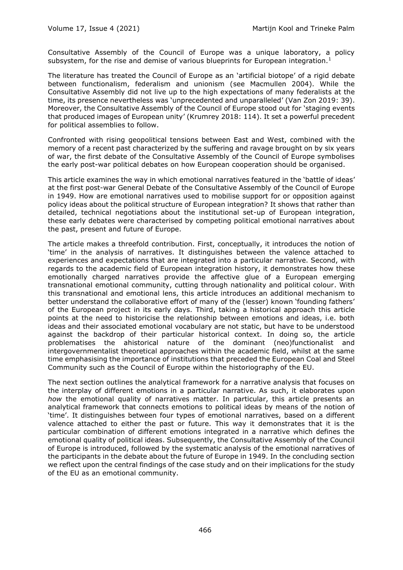Consultative Assembly of the Council of Europe was a unique laboratory, a policy subsystem, for the rise and demise of various blueprints for European integration.<sup>1</sup>

The literature has treated the Council of Europe as an 'artificial biotope' of a rigid debate between functionalism, federalism and unionism (see Macmullen 2004). While the Consultative Assembly did not live up to the high expectations of many federalists at the time, its presence nevertheless was 'unprecedented and unparalleled' (Van Zon 2019: 39). Moreover, the Consultative Assembly of the Council of Europe stood out for 'staging events that produced images of European unity' (Krumrey 2018: 114). It set a powerful precedent for political assemblies to follow.

Confronted with rising geopolitical tensions between East and West, combined with the memory of a recent past characterized by the suffering and ravage brought on by six years of war, the first debate of the Consultative Assembly of the Council of Europe symbolises the early post-war political debates on how European cooperation should be organised.

This article examines the way in which emotional narratives featured in the 'battle of ideas' at the first post-war General Debate of the Consultative Assembly of the Council of Europe in 1949. How are emotional narratives used to mobilise support for or opposition against policy ideas about the political structure of European integration? It shows that rather than detailed, technical negotiations about the institutional set-up of European integration, these early debates were characterised by competing political emotional narratives about the past, present and future of Europe.

The article makes a threefold contribution. First, conceptually, it introduces the notion of 'time' in the analysis of narratives. It distinguishes between the valence attached to experiences and expectations that are integrated into a particular narrative. Second, with regards to the academic field of European integration history, it demonstrates how these emotionally charged narratives provide the affective glue of a European emerging transnational emotional community, cutting through nationality and political colour. With this transnational and emotional lens, this article introduces an additional mechanism to better understand the collaborative effort of many of the (lesser) known 'founding fathers' of the European project in its early days. Third, taking a historical approach this article points at the need to historicise the relationship between emotions and ideas, i.e. both ideas and their associated emotional vocabulary are not static, but have to be understood against the backdrop of their particular historical context. In doing so, the article problematises the ahistorical nature of the dominant (neo)functionalist and intergovernmentalist theoretical approaches within the academic field, whilst at the same time emphasising the importance of institutions that preceded the European Coal and Steel Community such as the Council of Europe within the historiography of the EU.

The next section outlines the analytical framework for a narrative analysis that focuses on the interplay of different emotions in a particular narrative. As such, it elaborates upon *how* the emotional quality of narratives matter. In particular, this article presents an analytical framework that connects emotions to political ideas by means of the notion of 'time'. It distinguishes between four types of emotional narratives, based on a different valence attached to either the past or future. This way it demonstrates that it is the particular combination of different emotions integrated in a narrative which defines the emotional quality of political ideas. Subsequently, the Consultative Assembly of the Council of Europe is introduced, followed by the systematic analysis of the emotional narratives of the participants in the debate about the future of Europe in 1949. In the concluding section we reflect upon the central findings of the case study and on their implications for the study of the EU as an emotional community.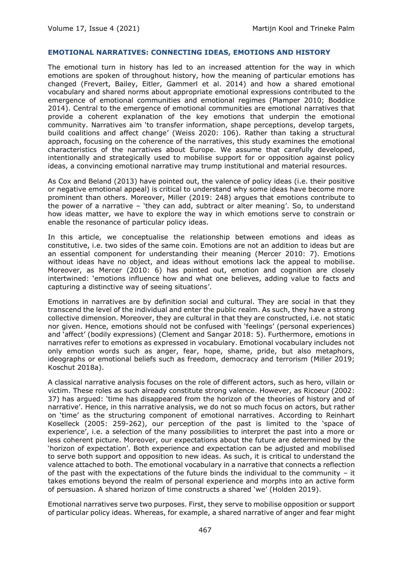#### **EMOTIONAL NARRATIVES: CONNECTING IDEAS, EMOTIONS AND HISTORY**

The emotional turn in history has led to an increased attention for the way in which emotions are spoken of throughout history, how the meaning of particular emotions has changed (Frevert, Bailey, Eitler, Gammerl et al. 2014) and how a shared emotional vocabulary and shared norms about appropriate emotional expressions contributed to the emergence of emotional communities and emotional regimes (Plamper 2010; Boddice 2014). Central to the emergence of emotional communities are emotional narratives that provide a coherent explanation of the key emotions that underpin the emotional community. Narratives aim 'to transfer information, shape perceptions, develop targets, build coalitions and affect change' (Weiss 2020: 106). Rather than taking a structural approach, focusing on the coherence of the narratives, this study examines the emotional characteristics of the narratives about Europe. We assume that carefully developed, intentionally and strategically used to mobilise support for or opposition against policy ideas, a convincing emotional narrative may trump institutional and material resources.

As Cox and Beland (2013) have pointed out, the valence of policy ideas (i.e. their positive or negative emotional appeal) is critical to understand why some ideas have become more prominent than others. Moreover, Miller (2019: 248) argues that emotions contribute to the power of a narrative – 'they can add, subtract or alter meaning'. So, to understand how ideas matter, we have to explore the way in which emotions serve to constrain or enable the resonance of particular policy ideas.

In this article, we conceptualise the relationship between emotions and ideas as constitutive, i.e. two sides of the same coin. Emotions are not an addition to ideas but are an essential component for understanding their meaning (Mercer 2010: 7). Emotions without ideas have no object, and ideas without emotions lack the appeal to mobilise. Moreover, as Mercer (2010: 6) has pointed out, emotion and cognition are closely intertwined: 'emotions influence how and what one believes, adding value to facts and capturing a distinctive way of seeing situations'.

Emotions in narratives are by definition social and cultural. They are social in that they transcend the level of the individual and enter the public realm. As such, they have a strong collective dimension. Moreover, they are cultural in that they are constructed, i.e. not static nor given. Hence, emotions should not be confused with 'feelings' (personal experiences) and 'affect' (bodily expressions) (Clement and Sangar 2018: 5). Furthermore, emotions in narratives refer to emotions as expressed in vocabulary. Emotional vocabulary includes not only emotion words such as anger, fear, hope, shame, pride, but also metaphors, ideographs or emotional beliefs such as freedom, democracy and terrorism (Miller 2019; Koschut 2018a).

A classical narrative analysis focuses on the role of different actors, such as hero, villain or victim. These roles as such already constitute strong valence. However, as Ricoeur (2002: 37) has argued: 'time has disappeared from the horizon of the theories of history and of narrative'. Hence, in this narrative analysis, we do not so much focus on actors, but rather on 'time' as the structuring component of emotional narratives. According to Reinhart Koselleck (2005: 259-262), our perception of the past is limited to the 'space of experience', i.e. a selection of the many possibilities to interpret the past into a more or less coherent picture. Moreover, our expectations about the future are determined by the 'horizon of expectation'. Both experience and expectation can be adjusted and mobilised to serve both support and opposition to new ideas. As such, it is critical to understand the valence attached to both. The emotional vocabulary in a narrative that connects a reflection of the past with the expectations of the future binds the individual to the community – it takes emotions beyond the realm of personal experience and morphs into an active form of persuasion. A shared horizon of time constructs a shared 'we' (Holden 2019).

Emotional narratives serve two purposes. First, they serve to mobilise opposition or support of particular policy ideas. Whereas, for example, a shared narrative of anger and fear might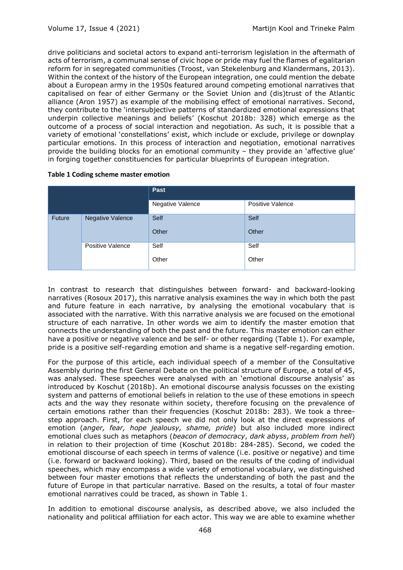drive politicians and societal actors to expand anti-terrorism legislation in the aftermath of acts of terrorism, a communal sense of civic hope or pride may fuel the flames of egalitarian reform for in segregated communities (Troost, van Stekelenburg and Klandermans, 2013). Within the context of the history of the European integration, one could mention the debate about a European army in the 1950s featured around competing emotional narratives that capitalised on fear of either Germany or the Soviet Union and (dis)trust of the Atlantic alliance (Aron 1957) as example of the mobilising effect of emotional narratives. Second, they contribute to the 'intersubjective patterns of standardized emotional expressions that underpin collective meanings and beliefs' (Koschut 2018b: 328) which emerge as the outcome of a process of social interaction and negotiation. As such, it is possible that a variety of emotional 'constellations' exist, which include or exclude, privilege or downplay particular emotions. In this process of interaction and negotiation, emotional narratives provide the building blocks for an emotional community – they provide an 'affective glue' in forging together constituencies for particular blueprints of European integration.

|               |                  | Past             |                  |
|---------------|------------------|------------------|------------------|
|               |                  | Negative Valence | Positive Valence |
| <b>Future</b> | Negative Valence | Self             | Self             |
|               |                  | Other            | Other            |
|               | Positive Valence | Self             | Self             |
|               |                  | Other            | Other            |

## **Table 1 Coding scheme master emotion**

In contrast to research that distinguishes between forward- and backward-looking narratives (Rosoux 2017), this narrative analysis examines the way in which both the past and future feature in each narrative, by analysing the emotional vocabulary that is associated with the narrative. With this narrative analysis we are focused on the emotional structure of each narrative. In other words we aim to identify the master emotion that connects the understanding of both the past and the future. This master emotion can either have a positive or negative valence and be self- or other regarding (Table 1). For example, pride is a positive self-regarding emotion and shame is a negative self-regarding emotion.

For the purpose of this article, each individual speech of a member of the Consultative Assembly during the first General Debate on the political structure of Europe, a total of 45, was analysed. These speeches were analysed with an 'emotional discourse analysis' as introduced by Koschut (2018b). An emotional discourse analysis focusses on the existing system and patterns of emotional beliefs in relation to the use of these emotions in speech acts and the way they resonate within society, therefore focusing on the prevalence of certain emotions rather than their frequencies (Koschut 2018b: 283). We took a threestep approach. First, for each speech we did not only look at the direct expressions of emotion (*anger, fear, hope jealousy, shame, pride*) but also included more indirect emotional clues such as metaphors (*beacon of democracy*, *dark abyss*, *problem from hell*) in relation to their projection of time (Koschut 2018b: 284-285). Second, we coded the emotional discourse of each speech in terms of valence (i.e. positive or negative) and time (i.e. forward or backward looking). Third, based on the results of the coding of individual speeches, which may encompass a wide variety of emotional vocabulary, we distinguished between four master emotions that reflects the understanding of both the past and the future of Europe in that particular narrative. Based on the results, a total of four master emotional narratives could be traced, as shown in Table 1.

In addition to emotional discourse analysis, as described above, we also included the nationality and political affiliation for each actor. This way we are able to examine whether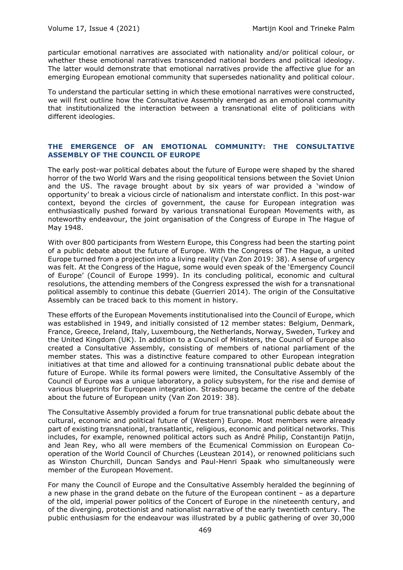particular emotional narratives are associated with nationality and/or political colour, or whether these emotional narratives transcended national borders and political ideology. The latter would demonstrate that emotional narratives provide the affective glue for an emerging European emotional community that supersedes nationality and political colour.

To understand the particular setting in which these emotional narratives were constructed, we will first outline how the Consultative Assembly emerged as an emotional community that institutionalized the interaction between a transnational elite of politicians with different ideologies.

## **THE EMERGENCE OF AN EMOTIONAL COMMUNITY: THE CONSULTATIVE ASSEMBLY OF THE COUNCIL OF EUROPE**

The early post-war political debates about the future of Europe were shaped by the shared horror of the two World Wars and the rising geopolitical tensions between the Soviet Union and the US. The ravage brought about by six years of war provided a 'window of opportunity' to break a vicious circle of nationalism and interstate conflict. In this post-war context, beyond the circles of government, the cause for European integration was enthusiastically pushed forward by various transnational European Movements with, as noteworthy endeavour, the joint organisation of the Congress of Europe in The Hague of May 1948.

With over 800 participants from Western Europe, this Congress had been the starting point of a public debate about the future of Europe. With the Congress of The Hague, a united Europe turned from a projection into a living reality (Van Zon 2019: 38). A sense of urgency was felt. At the Congress of the Hague, some would even speak of the 'Emergency Council of Europe' (Council of Europe 1999). In its concluding political, economic and cultural resolutions, the attending members of the Congress expressed the wish for a transnational political assembly to continue this debate (Guerrieri 2014). The origin of the Consultative Assembly can be traced back to this moment in history.

These efforts of the European Movements institutionalised into the Council of Europe, which was established in 1949, and initially consisted of 12 member states: Belgium, Denmark, France, Greece, Ireland, Italy, Luxembourg, the Netherlands, Norway, Sweden, Turkey and the United Kingdom (UK). In addition to a Council of Ministers, the Council of Europe also created a Consultative Assembly, consisting of members of national parliament of the member states. This was a distinctive feature compared to other European integration initiatives at that time and allowed for a continuing transnational public debate about the future of Europe. While its formal powers were limited, the Consultative Assembly of the Council of Europe was a unique laboratory, a policy subsystem, for the rise and demise of various blueprints for European integration. Strasbourg became the centre of the debate about the future of European unity (Van Zon 2019: 38).

The Consultative Assembly provided a forum for true transnational public debate about the cultural, economic and political future of (Western) Europe. Most members were already part of existing transnational, transatlantic, religious, economic and political networks. This includes, for example, renowned political actors such as André Philip, Constantijn Patijn, and Jean Rey, who all were members of the Ecumenical Commission on European Cooperation of the World Council of Churches (Leustean 2014), or renowned politicians such as Winston Churchill, Duncan Sandys and Paul-Henri Spaak who simultaneously were member of the European Movement.

For many the Council of Europe and the Consultative Assembly heralded the beginning of a new phase in the grand debate on the future of the European continent – as a departure of the old, imperial power politics of the Concert of Europe in the nineteenth century, and of the diverging, protectionist and nationalist narrative of the early twentieth century. The public enthusiasm for the endeavour was illustrated by a public gathering of over 30,000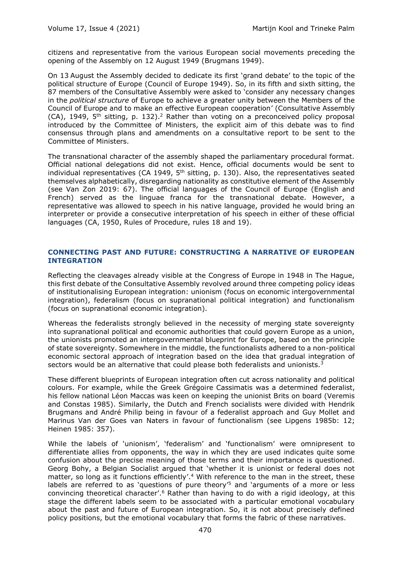citizens and representative from the various European social movements preceding the opening of the Assembly on 12 August 1949 (Brugmans 1949).

On 13 August the Assembly decided to dedicate its first 'grand debate' to the topic of the political structure of Europe (Council of Europe 1949). So, in its fifth and sixth sitting, the 87 members of the Consultative Assembly were asked to 'consider any necessary changes in the *political structure* of Europe to achieve a greater unity between the Members of the Council of Europe and to make an effective European cooperation' (Consultative Assembly (CA), 1949, 5<sup>th</sup> sitting, p. 132).<sup>2</sup> Rather than voting on a preconceived policy proposal introduced by the Committee of Ministers, the explicit aim of this debate was to find consensus through plans and amendments on a consultative report to be sent to the Committee of Ministers.

The transnational character of the assembly shaped the parliamentary procedural format. Official national delegations did not exist. Hence, official documents would be sent to individual representatives (CA 1949,  $5<sup>th</sup>$  sitting, p. 130). Also, the representatives seated themselves alphabetically, disregarding nationality as constitutive element of the Assembly (see Van Zon 2019: 67). The official languages of the Council of Europe (English and French) served as the linguae franca for the transnational debate. However, a representative was allowed to speech in his native language, provided he would bring an interpreter or provide a consecutive interpretation of his speech in either of these official languages (CA, 1950, Rules of Procedure, rules 18 and 19).

## **CONNECTING PAST AND FUTURE: CONSTRUCTING A NARRATIVE OF EUROPEAN INTEGRATION**

Reflecting the cleavages already visible at the Congress of Europe in 1948 in The Hague, this first debate of the Consultative Assembly revolved around three competing policy ideas of institutionalising European integration: unionism (focus on economic intergovernmental integration), federalism (focus on supranational political integration) and functionalism (focus on supranational economic integration).

Whereas the federalists strongly believed in the necessity of merging state sovereignty into supranational political and economic authorities that could govern Europe as a union, the unionists promoted an intergovernmental blueprint for Europe, based on the principle of state sovereignty. Somewhere in the middle, the functionalists adhered to a non-political economic sectoral approach of integration based on the idea that gradual integration of sectors would be an alternative that could please both federalists and unionists. $3$ 

These different blueprints of European integration often cut across nationality and political colours. For example, while the Greek Grégoire Cassimatis was a determined federalist, his fellow national Léon Maccas was keen on keeping the unionist Brits on board (Veremis and Constas 1985). Similarly, the Dutch and French socialists were divided with Hendrik Brugmans and André Philip being in favour of a federalist approach and Guy Mollet and Marinus Van der Goes van Naters in favour of functionalism (see Lipgens 1985b: 12; Heinen 1985: 357).

While the labels of 'unionism', 'federalism' and 'functionalism' were omnipresent to differentiate allies from opponents, the way in which they are used indicates quite some confusion about the precise meaning of those terms and their importance is questioned. Georg Bohy, a Belgian Socialist argued that 'whether it is unionist or federal does not matter, so long as it functions efficiently'.<sup>4</sup> With reference to the man in the street, these labels are referred to as 'questions of pure theory'<sup>5</sup> and 'arguments of a more or less convincing theoretical character'.<sup>6</sup> Rather than having to do with a rigid ideology, at this stage the different labels seem to be associated with a particular emotional vocabulary about the past and future of European integration. So, it is not about precisely defined policy positions, but the emotional vocabulary that forms the fabric of these narratives.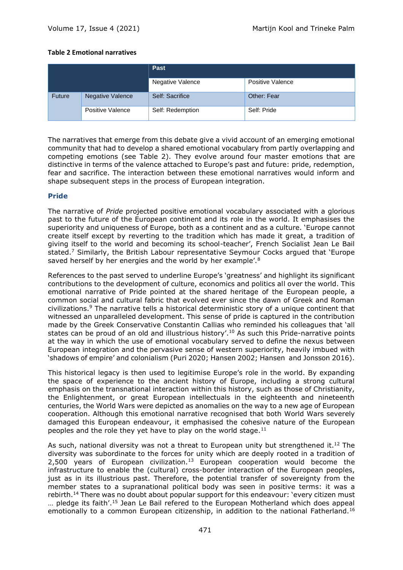## **Table 2 Emotional narratives**

|        |                  | Past             |                    |
|--------|------------------|------------------|--------------------|
|        |                  | Negative Valence | Positive Valence   |
| Future | Negative Valence | Self: Sacrifice  | <b>Other: Fear</b> |
|        | Positive Valence | Self: Redemption | Self: Pride        |

The narratives that emerge from this debate give a vivid account of an emerging emotional community that had to develop a shared emotional vocabulary from partly overlapping and competing emotions (see Table 2). They evolve around four master emotions that are distinctive in terms of the valence attached to Europe's past and future: pride, redemption, fear and sacrifice. The interaction between these emotional narratives would inform and shape subsequent steps in the process of European integration.

## **Pride**

The narrative of *Pride* projected positive emotional vocabulary associated with a glorious past to the future of the European continent and its role in the world. It emphasises the superiority and uniqueness of Europe, both as a continent and as a culture. 'Europe cannot create itself except by reverting to the tradition which has made it great, a tradition of giving itself to the world and becoming its school-teacher', French Socialist Jean Le Bail stated.<sup>7</sup> Similarly, the British Labour representative Seymour Cocks argued that 'Europe saved herself by her energies and the world by her example'.<sup>8</sup>

References to the past served to underline Europe's 'greatness' and highlight its significant contributions to the development of culture, economics and politics all over the world. This emotional narrative of Pride pointed at the shared heritage of the European people, a common social and cultural fabric that evolved ever since the dawn of Greek and Roman civilizations.<sup>9</sup> The narrative tells a historical deterministic story of a unique continent that witnessed an unparalleled development. This sense of pride is captured in the contribution made by the Greek Conservative Constantin Callias who reminded his colleagues that 'all states can be proud of an old and illustrious history'.<sup>10</sup> As such this Pride-narrative points at the way in which the use of emotional vocabulary served to define the nexus between European integration and the pervasive sense of western superiority, heavily imbued with 'shadows of empire' and colonialism (Puri 2020; Hansen 2002; Hansen and Jonsson 2016).

This historical legacy is then used to legitimise Europe's role in the world. By expanding the space of experience to the ancient history of Europe, including a strong cultural emphasis on the transnational interaction within this history, such as those of Christianity, the Enlightenment, or great European intellectuals in the eighteenth and nineteenth centuries, the World Wars were depicted as anomalies on the way to a new age of European cooperation. Although this emotional narrative recognised that both World Wars severely damaged this European endeavour, it emphasised the cohesive nature of the European peoples and the role they yet have to play on the world stage. $11$ 

As such, national diversity was not a threat to European unity but strengthened it.<sup>12</sup> The diversity was subordinate to the forces for unity which are deeply rooted in a tradition of 2,500 years of European civilization.<sup>13</sup> European cooperation would become the infrastructure to enable the (cultural) cross-border interaction of the European peoples, just as in its illustrious past. Therefore, the potential transfer of sovereignty from the member states to a supranational political body was seen in positive terms: it was a rebirth.<sup>14</sup> There was no doubt about popular support for this endeavour: 'every citizen must ... pledge its faith'.<sup>15</sup> Jean Le Bail refered to the European Motherland which does appeal emotionally to a common European citizenship, in addition to the national Fatherland.<sup>16</sup>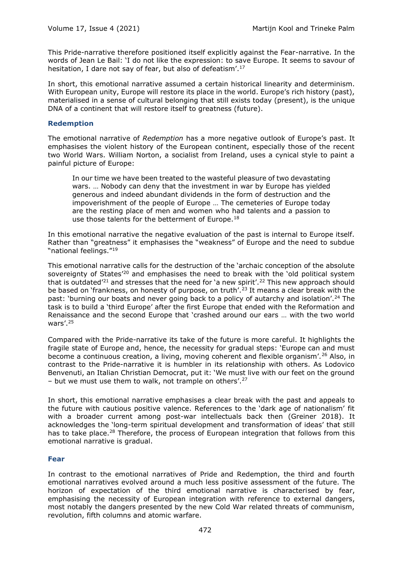This Pride-narrative therefore positioned itself explicitly against the Fear-narrative. In the words of Jean Le Bail: 'I do not like the expression: to save Europe. It seems to savour of hesitation, I dare not say of fear, but also of defeatism'.<sup>17</sup>

In short, this emotional narrative assumed a certain historical linearity and determinism. With European unity, Europe will restore its place in the world. Europe's rich history (past), materialised in a sense of cultural belonging that still exists today (present), is the unique DNA of a continent that will restore itself to greatness (future).

## **Redemption**

The emotional narrative of *Redemption* has a more negative outlook of Europe's past. It emphasises the violent history of the European continent, especially those of the recent two World Wars. William Norton, a socialist from Ireland, uses a cynical style to paint a painful picture of Europe:

In our time we have been treated to the wasteful pleasure of two devastating wars. … Nobody can deny that the investment in war by Europe has yielded generous and indeed abundant dividends in the form of destruction and the impoverishment of the people of Europe … The cemeteries of Europe today are the resting place of men and women who had talents and a passion to use those talents for the betterment of Europe.<sup>18</sup>

In this emotional narrative the negative evaluation of the past is internal to Europe itself. Rather than "greatness" it emphasises the "weakness" of Europe and the need to subdue "national feelings."<sup>19</sup>

This emotional narrative calls for the destruction of the 'archaic conception of the absolute sovereignty of States<sup>'20</sup> and emphasises the need to break with the 'old political system that is outdated<sup>'21</sup> and stresses that the need for 'a new spirit'.<sup>22</sup> This new approach should be based on 'frankness, on honesty of purpose, on truth'.<sup>23</sup> It means a clear break with the past: 'burning our boats and never going back to a policy of autarchy and isolation'.<sup>24</sup> The task is to build a 'third Europe' after the first Europe that ended with the Reformation and Renaissance and the second Europe that 'crashed around our ears … with the two world wars'.<sup>25</sup>

Compared with the Pride-narrative its take of the future is more careful. It highlights the fragile state of Europe and, hence, the necessity for gradual steps: 'Europe can and must become a continuous creation, a living, moving coherent and flexible organism'.<sup>26</sup> Also, in contrast to the Pride-narrative it is humbler in its relationship with others. As Lodovico Benvenuti, an Italian Christian Democrat, put it: 'We must live with our feet on the ground – but we must use them to walk, not trample on others'. $27$ 

In short, this emotional narrative emphasises a clear break with the past and appeals to the future with cautious positive valence. References to the 'dark age of nationalism' fit with a broader current among post-war intellectuals back then (Greiner 2018). It acknowledges the 'long-term spiritual development and transformation of ideas' that still has to take place.<sup>28</sup> Therefore, the process of European integration that follows from this emotional narrative is gradual.

## **Fear**

In contrast to the emotional narratives of Pride and Redemption, the third and fourth emotional narratives evolved around a much less positive assessment of the future. The horizon of expectation of the third emotional narrative is characterised by fear, emphasising the necessity of European integration with reference to external dangers, most notably the dangers presented by the new Cold War related threats of communism, revolution, fifth columns and atomic warfare.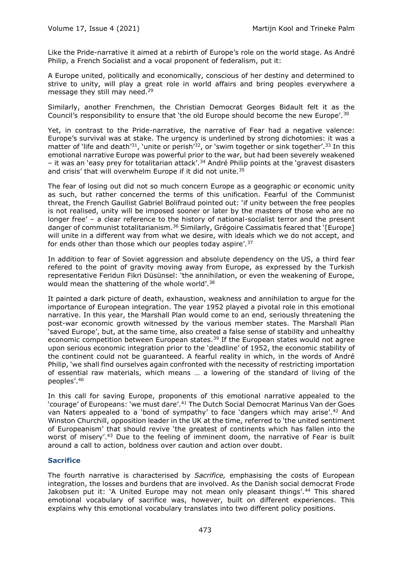Like the Pride-narrative it aimed at a rebirth of Europe's role on the world stage. As André Philip, a French Socialist and a vocal proponent of federalism, put it:

A Europe united, politically and economically, conscious of her destiny and determined to strive to unity, will play a great role in world affairs and bring peoples everywhere a message they still may need.<sup>29</sup>

Similarly, another Frenchmen, the Christian Democrat Georges Bidault felt it as the Council's responsibility to ensure that 'the old Europe should become the new Europe'.<sup>30</sup>

Yet, in contrast to the Pride-narrative, the narrative of Fear had a negative valence: Europe's survival was at stake. The urgency is underlined by strong dichotomies: it was a matter of 'life and death'<sup>31</sup>, 'unite or perish'<sup>32</sup>, or 'swim together or sink together'.<sup>33</sup> In this emotional narrative Europe was powerful prior to the war, but had been severely weakened – it was an 'easy prey for totalitarian attack'.<sup>34</sup> André Philip points at the 'gravest disasters and crisis' that will overwhelm Europe if it did not unite.<sup>35</sup>

The fear of losing out did not so much concern Europe as a geographic or economic unity as such, but rather concerned the terms of this unification. Fearful of the Communist threat, the French Gaullist Gabriel Bolifraud pointed out: 'if unity between the free peoples is not realised, unity will be imposed sooner or later by the masters of those who are no longer free' – a clear reference to the history of national-socialist terror and the present danger of communist totalitarianism.<sup>36</sup> Similarly, Grégoire Cassimatis feared that '[Europe] will unite in a different way from what we desire, with ideals which we do not accept, and for ends other than those which our peoples today aspire'.<sup>37</sup>

In addition to fear of Soviet aggression and absolute dependency on the US, a third fear refered to the point of gravity moving away from Europe, as expressed by the Turkish representative Feridun Fikri Düsünsel: 'the annihilation, or even the weakening of Europe, would mean the shattering of the whole world'.<sup>38</sup>

It painted a dark picture of death, exhaustion, weakness and annihilation to argue for the importance of European integration. The year 1952 played a pivotal role in this emotional narrative. In this year, the Marshall Plan would come to an end, seriously threatening the post-war economic growth witnessed by the various member states. The Marshall Plan 'saved Europe', but, at the same time, also created a false sense of stability and unhealthy economic competition between European states. $39$  If the European states would not agree upon serious economic integration prior to the 'deadline' of 1952, the economic stability of the continent could not be guaranteed. A fearful reality in which, in the words of André Philip, 'we shall find ourselves again confronted with the necessity of restricting importation of essential raw materials, which means … a lowering of the standard of living of the peoples'. 40

In this call for saving Europe, proponents of this emotional narrative appealed to the 'courage' of Europeans: 'we must dare'.<sup>41</sup> The Dutch Social Democrat Marinus Van der Goes van Naters appealed to a 'bond of sympathy' to face 'dangers which may arise'.<sup>42</sup> And Winston Churchill, opposition leader in the UK at the time, referred to 'the united sentiment of Europeanism' that should revive 'the greatest of continents which has fallen into the worst of misery'.<sup>43</sup> Due to the feeling of imminent doom, the narrative of Fear is built around a call to action, boldness over caution and action over doubt.

## **Sacrifice**

The fourth narrative is characterised by *Sacrifice,* emphasising the costs of European integration, the losses and burdens that are involved. As the Danish social democrat Frode Jakobsen put it: 'A United Europe may not mean only pleasant things'.<sup>44</sup> This shared emotional vocabulary of sacrifice was, however, built on different experiences. This explains why this emotional vocabulary translates into two different policy positions.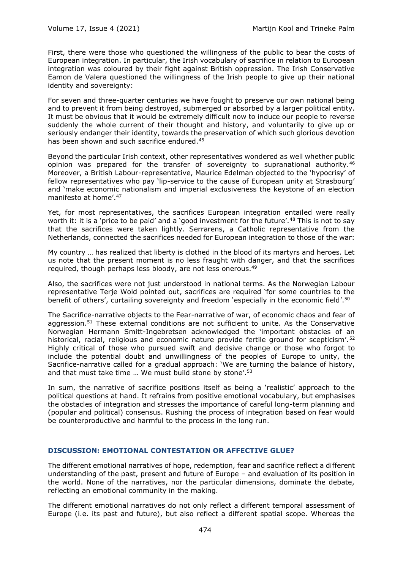First, there were those who questioned the willingness of the public to bear the costs of European integration. In particular, the Irish vocabulary of sacrifice in relation to European integration was coloured by their fight against British oppression. The Irish Conservative Eamon de Valera questioned the willingness of the Irish people to give up their national identity and sovereignty:

For seven and three-quarter centuries we have fought to preserve our own national being and to prevent it from being destroyed, submerged or absorbed by a larger political entity. It must be obvious that it would be extremely difficult now to induce our people to reverse suddenly the whole current of their thought and history, and voluntarily to give up or seriously endanger their identity, towards the preservation of which such glorious devotion has been shown and such sacrifice endured.<sup>45</sup>

Beyond the particular Irish context, other representatives wondered as well whether public opinion was prepared for the transfer of sovereignty to supranational authority. $46$ Moreover, a British Labour-representative, Maurice Edelman objected to the 'hypocrisy' of fellow representatives who pay 'lip-service to the cause of European unity at Strasbourg' and 'make economic nationalism and imperial exclusiveness the keystone of an election manifesto at home'.<sup>47</sup>

Yet, for most representatives, the sacrifices European integration entailed were really worth it: it is a 'price to be paid' and a 'good investment for the future'.<sup>48</sup> This is not to say that the sacrifices were taken lightly. Serrarens, a Catholic representative from the Netherlands, connected the sacrifices needed for European integration to those of the war:

My country … has realized that liberty is clothed in the blood of its martyrs and heroes. Let us note that the present moment is no less fraught with danger, and that the sacrifices required, though perhaps less bloody, are not less onerous.<sup>49</sup>

Also, the sacrifices were not just understood in national terms. As the Norwegian Labour representative Terje Wold pointed out, sacrifices are required 'for some countries to the benefit of others', curtailing sovereignty and freedom 'especially in the economic field'.<sup>50</sup>

The Sacrifice-narrative objects to the Fear-narrative of war, of economic chaos and fear of aggression.<sup>51</sup> These external conditions are not sufficient to unite. As the Conservative Norwegian Hermann Smitt-Ingebretsen acknowledged the 'important obstacles of an historical, racial, religious and economic nature provide fertile ground for scepticism'.<sup>52</sup> Highly critical of those who pursued swift and decisive change or those who forgot to include the potential doubt and unwillingness of the peoples of Europe to unity, the Sacrifice-narrative called for a gradual approach: 'We are turning the balance of history, and that must take time ... We must build stone by stone'.<sup>53</sup>

In sum, the narrative of sacrifice positions itself as being a 'realistic' approach to the political questions at hand. It refrains from positive emotional vocabulary, but emphasises the obstacles of integration and stresses the importance of careful long-term planning and (popular and political) consensus. Rushing the process of integration based on fear would be counterproductive and harmful to the process in the long run.

## **DISCUSSION: EMOTIONAL CONTESTATION OR AFFECTIVE GLUE?**

The different emotional narratives of hope, redemption, fear and sacrifice reflect a different understanding of the past, present and future of Europe – and evaluation of its position in the world. None of the narratives, nor the particular dimensions, dominate the debate, reflecting an emotional community in the making.

The different emotional narratives do not only reflect a different temporal assessment of Europe (i.e. its past and future), but also reflect a different spatial scope. Whereas the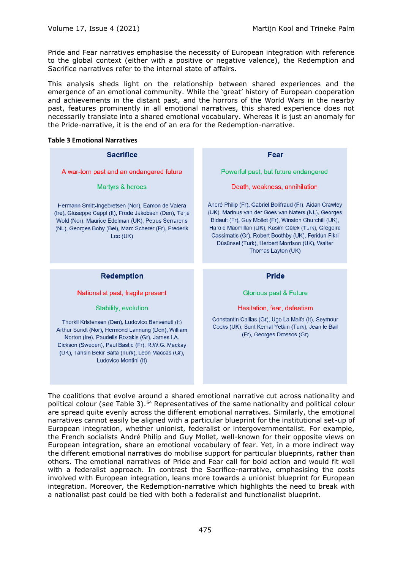Pride and Fear narratives emphasise the necessity of European integration with reference to the global context (either with a positive or negative valence), the Redemption and Sacrifice narratives refer to the internal state of affairs.

This analysis sheds light on the relationship between shared experiences and the emergence of an emotional community. While the 'great' history of European cooperation and achievements in the distant past, and the horrors of the World Wars in the nearby past, features prominently in all emotional narratives, this shared experience does not necessarily translate into a shared emotional vocabulary. Whereas it is just an anomaly for the Pride-narrative, it is the end of an era for the Redemption-narrative.

#### **Table 3 Emotional Narratives**

| <b>Sacrifice</b>                                                                                                                                                                                                                         | Fear                                                                                                                                                                                                                                                                                                                                                            |
|------------------------------------------------------------------------------------------------------------------------------------------------------------------------------------------------------------------------------------------|-----------------------------------------------------------------------------------------------------------------------------------------------------------------------------------------------------------------------------------------------------------------------------------------------------------------------------------------------------------------|
| A war-torn past and an endangered future                                                                                                                                                                                                 | Powerful past, but future endangered                                                                                                                                                                                                                                                                                                                            |
| Martyrs & heroes                                                                                                                                                                                                                         | Death, weakness, annihilation                                                                                                                                                                                                                                                                                                                                   |
| Hermann Smitt-Ingebretsen (Nor), Eamon de Valera<br>(Ire), Giuseppe Cappi (It), Frode Jakobsen (Den), Terje<br>Wold (Nor), Maurice Edelman (UK), Petrus Serrarens<br>(NL), Georges Bohy (Bel), Marc Scherer (Fr), Frederik<br>Lee $(UK)$ | André Philip (Fr), Gabriel Bolifraud (Fr), Aidan Crawley<br>(UK), Marinus van der Goes van Naters (NL), Georges<br>Bidault (Fr), Guy Mollet (Fr), Winston Churchill (UK),<br>Harold Macmillan (UK), Kasim Gülek (Turk), Grégoire<br>Cassimatis (Gr), Robert Boothby (UK), Feridun Fikri<br>Düsünsel (Turk), Herbert Morrison (UK), Walter<br>Thomas Layton (UK) |
|                                                                                                                                                                                                                                          |                                                                                                                                                                                                                                                                                                                                                                 |
| <b>Redemption</b>                                                                                                                                                                                                                        | <b>Pride</b>                                                                                                                                                                                                                                                                                                                                                    |
| Nationalist past, fragile present                                                                                                                                                                                                        | Glorious past & Future                                                                                                                                                                                                                                                                                                                                          |
| Stability, evolution                                                                                                                                                                                                                     | Hesitation, fear, defeatism                                                                                                                                                                                                                                                                                                                                     |

The coalitions that evolve around a shared emotional narrative cut across nationality and political colour (see Table 3).<sup>54</sup> Representatives of the same nationality and political colour are spread quite evenly across the different emotional narratives. Similarly, the emotional narratives cannot easily be aligned with a particular blueprint for the institutional set-up of European integration, whether unionist, federalist or intergovernmentalist. For example, the French socialists André Philip and Guy Mollet, well-known for their opposite views on European integration, share an emotional vocabulary of fear. Yet, in a more indirect way the different emotional narratives do mobilise support for particular blueprints, rather than others. The emotional narratives of Pride and Fear call for bold action and would fit well with a federalist approach. In contrast the Sacrifice-narrative, emphasising the costs involved with European integration, leans more towards a unionist blueprint for European integration. Moreover, the Redemption-narrative which highlights the need to break with a nationalist past could be tied with both a federalist and functionalist blueprint.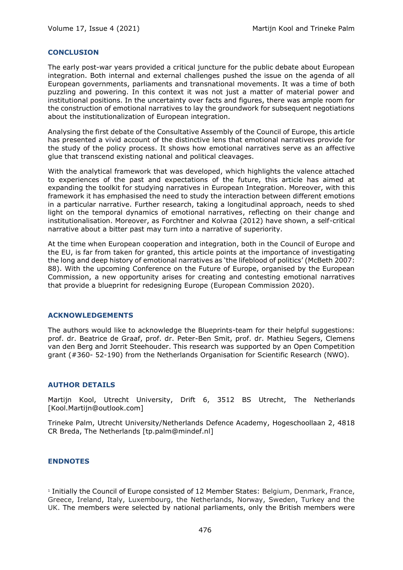#### **CONCLUSION**

The early post-war years provided a critical juncture for the public debate about European integration. Both internal and external challenges pushed the issue on the agenda of all European governments, parliaments and transnational movements. It was a time of both puzzling and powering. In this context it was not just a matter of material power and institutional positions. In the uncertainty over facts and figures, there was ample room for the construction of emotional narratives to lay the groundwork for subsequent negotiations about the institutionalization of European integration.

Analysing the first debate of the Consultative Assembly of the Council of Europe, this article has presented a vivid account of the distinctive lens that emotional narratives provide for the study of the policy process. It shows how emotional narratives serve as an affective glue that transcend existing national and political cleavages.

With the analytical framework that was developed, which highlights the valence attached to experiences of the past and expectations of the future, this article has aimed at expanding the toolkit for studying narratives in European Integration. Moreover, with this framework it has emphasised the need to study the interaction between different emotions in a particular narrative. Further research, taking a longitudinal approach, needs to shed light on the temporal dynamics of emotional narratives, reflecting on their change and institutionalisation. Moreover, as Forchtner and Kolvraa (2012) have shown, a self-critical narrative about a bitter past may turn into a narrative of superiority.

At the time when European cooperation and integration, both in the Council of Europe and the EU, is far from taken for granted, this article points at the importance of investigating the long and deep history of emotional narratives as 'the lifeblood of politics' (McBeth 2007: 88). With the upcoming Conference on the Future of Europe, organised by the European Commission, a new opportunity arises for creating and contesting emotional narratives that provide a blueprint for redesigning Europe (European Commission 2020).

## **ACKNOWLEDGEMENTS**

The authors would like to acknowledge the Blueprints-team for their helpful suggestions: prof. dr. Beatrice de Graaf, prof. dr. Peter-Ben Smit, prof. dr. Mathieu Segers, Clemens van den Berg and Jorrit Steehouder. This research was supported by an Open Competition grant (#360- 52-190) from the Netherlands Organisation for Scientific Research (NWO).

## **AUTHOR DETAILS**

Martijn Kool, Utrecht University, Drift 6, 3512 BS Utrecht, The Netherlands [Kool.Martijn@outlook.com]

Trineke Palm, Utrecht University/Netherlands Defence Academy, Hogeschoollaan 2, 4818 CR Breda, The Netherlands [tp.palm@mindef.nl]

#### **ENDNOTES**

<sup>1</sup> Initially the Council of Europe consisted of 12 Member States: Belgium, Denmark, France, Greece, Ireland, Italy, Luxembourg, the Netherlands, Norway, Sweden, Turkey and the UK. The members were selected by national parliaments, only the British members were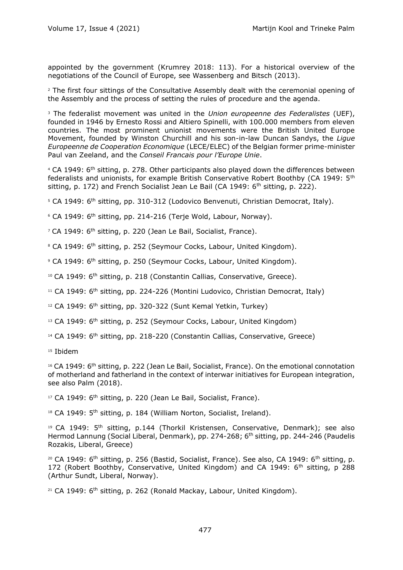appointed by the government (Krumrey 2018: 113). For a historical overview of the negotiations of the Council of Europe, see Wassenberg and Bitsch (2013).

<sup>2</sup> The first four sittings of the Consultative Assembly dealt with the ceremonial opening of the Assembly and the process of setting the rules of procedure and the agenda.

<sup>3</sup> The federalist movement was united in the *Union europeenne des Federalistes* (UEF), founded in 1946 by Ernesto Rossi and Altiero Spinelli, with 100.000 members from eleven countries. The most prominent unionist movements were the British United Europe Movement, founded by Winston Churchill and his son-in-law Duncan Sandys, the *Ligue Europeenne de Cooperation Economique* (LECE/ELEC) of the Belgian former prime-minister Paul van Zeeland, and the *Conseil Francais pour l'Europe Unie*.

<sup>4</sup> CA 1949: 6<sup>th</sup> sitting, p. 278. Other participants also played down the differences between federalists and unionists, for example British Conservative Robert Boothby (CA 1949: 5th sitting, p. 172) and French Socialist Jean Le Bail (CA 1949:  $6<sup>th</sup>$  sitting, p. 222).

 $5$  CA 1949:  $6<sup>th</sup>$  sitting, pp. 310-312 (Lodovico Benvenuti, Christian Democrat, Italy).

 $6$  CA 1949:  $6<sup>th</sup>$  sitting, pp. 214-216 (Terie Wold, Labour, Norway).

<sup>7</sup> CA 1949: 6<sup>th</sup> sitting, p. 220 (Jean Le Bail, Socialist, France).

<sup>8</sup> CA 1949: 6<sup>th</sup> sitting, p. 252 (Seymour Cocks, Labour, United Kingdom).

<sup>9</sup> CA 1949: 6<sup>th</sup> sitting, p. 250 (Seymour Cocks, Labour, United Kingdom).

<sup>10</sup> CA 1949: 6<sup>th</sup> sitting, p. 218 (Constantin Callias, Conservative, Greece).

<sup>11</sup> CA 1949: 6<sup>th</sup> sitting, pp. 224-226 (Montini Ludovico, Christian Democrat, Italy)

<sup>12</sup> CA 1949: 6<sup>th</sup> sitting, pp. 320-322 (Sunt Kemal Yetkin, Turkey)

<sup>13</sup> CA 1949: 6<sup>th</sup> sitting, p. 252 (Seymour Cocks, Labour, United Kingdom)

<sup>14</sup> CA 1949: 6<sup>th</sup> sitting, pp. 218-220 (Constantin Callias, Conservative, Greece)

<sup>15</sup> Ibidem

<sup>16</sup> CA 1949: 6<sup>th</sup> sitting, p. 222 (Jean Le Bail, Socialist, France). On the emotional connotation of motherland and fatherland in the context of interwar initiatives for European integration, see also Palm (2018).

<sup>17</sup> CA 1949: 6<sup>th</sup> sitting, p. 220 (Jean Le Bail, Socialist, France).

<sup>18</sup> CA 1949: 5<sup>th</sup> sitting, p. 184 (William Norton, Socialist, Ireland).

<sup>19</sup> CA 1949:  $5<sup>th</sup>$  sitting, p.144 (Thorkil Kristensen, Conservative, Denmark); see also Hermod Lannung (Social Liberal, Denmark), pp. 274-268; 6<sup>th</sup> sitting, pp. 244-246 (Paudelis Rozakis, Liberal, Greece)

<sup>20</sup> CA 1949:  $6<sup>th</sup>$  sitting, p. 256 (Bastid, Socialist, France). See also, CA 1949:  $6<sup>th</sup>$  sitting, p. 172 (Robert Boothby, Conservative, United Kingdom) and CA 1949: 6<sup>th</sup> sitting, p 288 (Arthur Sundt, Liberal, Norway).

 $21$  CA 1949:  $6$ <sup>th</sup> sitting, p. 262 (Ronald Mackay, Labour, United Kingdom).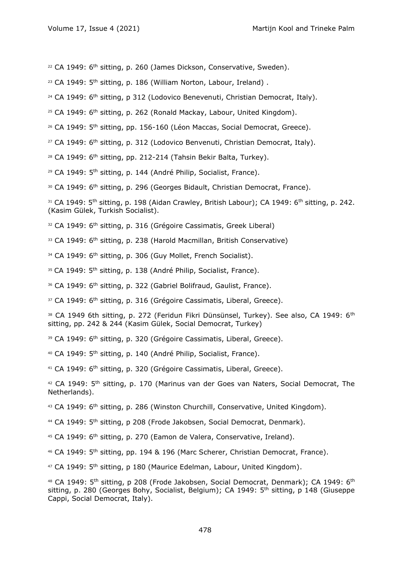<sup>22</sup> CA 1949: 6<sup>th</sup> sitting, p. 260 (James Dickson, Conservative, Sweden).

 $23$  CA 1949:  $5<sup>th</sup>$  sitting, p. 186 (William Norton, Labour, Ireland).

 $24$  CA 1949:  $6<sup>th</sup>$  sitting, p 312 (Lodovico Benevenuti, Christian Democrat, Italy).

 $25$  CA 1949:  $6<sup>th</sup>$  sitting, p. 262 (Ronald Mackay, Labour, United Kingdom).

<sup>26</sup> CA 1949: 5<sup>th</sup> sitting, pp. 156-160 (Léon Maccas, Social Democrat, Greece).

<sup>27</sup> CA 1949:  $6<sup>th</sup>$  sitting, p. 312 (Lodovico Benvenuti, Christian Democrat, Italy).

 $28$  CA 1949:  $6<sup>th</sup>$  sitting, pp. 212-214 (Tahsin Bekir Balta, Turkey).

<sup>29</sup> CA 1949: 5<sup>th</sup> sitting, p. 144 (André Philip, Socialist, France).

30 CA 1949: 6<sup>th</sup> sitting, p. 296 (Georges Bidault, Christian Democrat, France).

31 CA 1949: 5<sup>th</sup> sitting, p. 198 (Aidan Crawley, British Labour); CA 1949: 6<sup>th</sup> sitting, p. 242. (Kasim Gülek, Turkish Socialist).

32 CA 1949: 6<sup>th</sup> sitting, p. 316 (Grégoire Cassimatis, Greek Liberal)

33 CA 1949: 6<sup>th</sup> sitting, p. 238 (Harold Macmillan, British Conservative)

34 CA 1949: 6<sup>th</sup> sitting, p. 306 (Guy Mollet, French Socialist).

35 CA 1949: 5<sup>th</sup> sitting, p. 138 (André Philip, Socialist, France).

36 CA 1949: 6<sup>th</sup> sitting, p. 322 (Gabriel Bolifraud, Gaulist, France).

37 CA 1949: 6<sup>th</sup> sitting, p. 316 (Grégoire Cassimatis, Liberal, Greece).

38 CA 1949 6th sitting, p. 272 (Feridun Fikri Dünsünsel, Turkey). See also, CA 1949: 6<sup>th</sup> sitting, pp. 242 & 244 (Kasim Gülek, Social Democrat, Turkey)

39 CA 1949: 6<sup>th</sup> sitting, p. 320 (Grégoire Cassimatis, Liberal, Greece).

<sup>40</sup> CA 1949: 5<sup>th</sup> sitting, p. 140 (André Philip, Socialist, France).

<sup>41</sup> CA 1949: 6<sup>th</sup> sitting, p. 320 (Grégoire Cassimatis, Liberal, Greece).

<sup>42</sup> CA 1949: 5<sup>th</sup> sitting, p. 170 (Marinus van der Goes van Naters, Social Democrat, The Netherlands).

<sup>43</sup> CA 1949: 6<sup>th</sup> sitting, p. 286 (Winston Churchill, Conservative, United Kingdom).

<sup>44</sup> CA 1949: 5th sitting, p 208 (Frode Jakobsen, Social Democrat, Denmark).

<sup>45</sup> CA 1949: 6<sup>th</sup> sitting, p. 270 (Eamon de Valera, Conservative, Ireland).

<sup>46</sup> CA 1949: 5<sup>th</sup> sitting, pp. 194 & 196 (Marc Scherer, Christian Democrat, France).

<sup>47</sup> CA 1949: 5<sup>th</sup> sitting, p 180 (Maurice Edelman, Labour, United Kingdom).

<sup>48</sup> CA 1949: 5<sup>th</sup> sitting, p 208 (Frode Jakobsen, Social Democrat, Denmark); CA 1949: 6<sup>th</sup> sitting, p. 280 (Georges Bohy, Socialist, Belgium); CA 1949: 5<sup>th</sup> sitting, p 148 (Giuseppe Cappi, Social Democrat, Italy).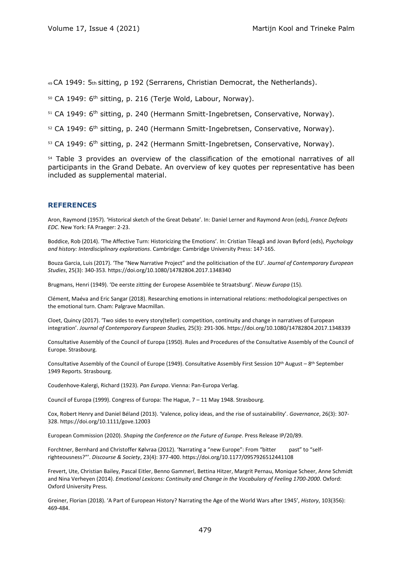49 CA 1949: 5th sitting, p 192 (Serrarens, Christian Democrat, the Netherlands).

50 CA 1949: 6<sup>th</sup> sitting, p. 216 (Terje Wold, Labour, Norway).

 $51$  CA 1949:  $6<sup>th</sup>$  sitting, p. 240 (Hermann Smitt-Ingebretsen, Conservative, Norway).

52 CA 1949: 6<sup>th</sup> sitting, p. 240 (Hermann Smitt-Ingebretsen, Conservative, Norway).

53 CA 1949: 6<sup>th</sup> sitting, p. 242 (Hermann Smitt-Ingebretsen, Conservative, Norway).

<sup>54</sup> Table 3 provides an overview of the classification of the emotional narratives of all participants in the Grand Debate. An overview of key quotes per representative has been included as supplemental material.

#### **REFERENCES**

Aron, Raymond (1957). 'Historical sketch of the Great Debate'. In: Daniel Lerner and Raymond Aron (eds), *France Defeats EDC*. New York: FA Praeger: 2-23.

Boddice, Rob (2014). 'The Affective Turn: Historicizing the Emotions'. In: Cristian Tileagă and Jovan Byford (eds), *Psychology and history: Interdisciplinary explorations*. Cambridge: Cambridge University Press: 147-165.

Bouza Garcia, Luis (2017). 'The "New Narrative Project" and the politicisation of the EU'. *Journal of Contemporary European Studies*, 25(3): 340-353. https://doi.org/10.1080/14782804.2017.1348340

Brugmans, Henri (1949). 'De eerste zitting der Europese Assemblée te Straatsburg'. *Nieuw Europa* (15).

Clément, Maéva and Eric Sangar (2018). Researching emotions in international relations: methodological perspectives on the emotional turn. Cham: Palgrave Macmillan.

Cloet, Quincy (2017). 'Two sides to every story(teller): competition, continuity and change in narratives of European integration'. *Journal of Contemporary European Studies,* 25(3): 291-306. https://doi.org/10.1080/14782804.2017.1348339

Consultative Assembly of the Council of Europa (1950). Rules and Procedures of the Consultative Assembly of the Council of Europe. Strasbourg.

Consultative Assembly of the Council of Europe (1949). Consultative Assembly First Session 10<sup>th</sup> August - 8<sup>th</sup> September 1949 Reports. Strasbourg.

Coudenhove-Kalergi, Richard (1923). *Pan Europa*. Vienna: Pan-Europa Verlag.

Council of Europa (1999). Congress of Europa: The Hague, 7 – 11 May 1948. Strasbourg.

Cox, Robert Henry and Daniel Béland (2013). 'Valence, policy ideas, and the rise of sustainability'. *Governance*, 26(3): 307- 328.<https://doi.org/10.1111/gove.12003>

European Commission (2020). *Shaping the Conference on the Future of Europe*. Press Release IP/20/89.

Forchtner, Bernhard and Christoffer Kølvraa (2012). 'Narrating a "new Europe": From "bitter past" to "selfrighteousness?"'. *Discourse & Society*, 23(4): 377-400. https://doi.org/10.1177/0957926512441108

Frevert, Ute, Christian Bailey, Pascal Eitler, Benno Gammerl, Bettina Hitzer, Margrit Pernau, Monique Scheer, Anne Schmidt and Nina Verheyen (2014). *Emotional Lexicons: Continuity and Change in the Vocabulary of Feeling 1700-2000*. Oxford: Oxford University Press.

Greiner, Florian (2018). 'A Part of European History? Narrating the Age of the World Wars after 1945', *History*, 103(356): 469-484.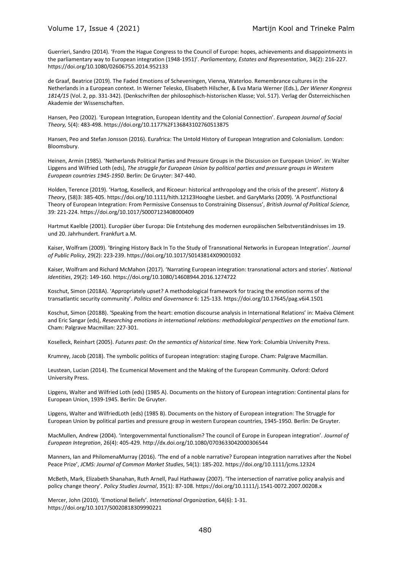Guerrieri, Sandro (2014). 'From the Hague Congress to the Council of Europe: hopes, achievements and disappointments in the parliamentary way to European integration (1948-1951)'. *Parliamentary, Estates and Representation*, 34(2): 216-227. <https://doi.org/10.1080/02606755.2014.952133>

de Graaf, Beatrice (2019). The Faded Emotions of Scheveningen, Vienna, Waterloo. Remembrance cultures in the Netherlands in a European context. In Werner Telesko, Elisabeth Hilscher, & Eva Maria Werner (Eds.), *Der Wiener Kongress 1814/15* (Vol. 2, pp. 331-342). (Denkschriften der philosophisch-historischen Klasse; Vol. 517). Verlag der Österreichischen Akademie der Wissenschaften.

Hansen, Peo (2002). 'European Integration, European Identity and the Colonial Connection'. *European Journal of Social Theory,* 5(4): 483-498. https://doi.org/10.1177%2F136843102760513875

Hansen, Peo and Stefan Jonsson (2016). Eurafrica: The Untold History of European Integration and Colonialism. London: Bloomsbury.

Heinen, Armin (1985). 'Netherlands Political Parties and Pressure Groups in the Discussion on European Union'. in: Walter Lipgens and Wilfried Loth (eds), *The struggle for European Union by political parties and pressure groups in Western European countries 1945-1950*. Berlin: De Gruyter: 347-440.

Holden, Terence (2019). 'Hartog, Koselleck, and Ricoeur: historical anthropology and the crisis of the present'. *History & Theory*, (58)3: 385-405. https://doi.org/10.1111/hith.12123Hooghe Liesbet. and GaryMarks (2009). 'A Postfunctional Theory of European Integration: From Permissive Consensus to Constraining Dissensus', *British Journal of Political Science,*  39: 221-224. https://doi.org/10.1017/S0007123408000409

Hartmut Kaelble (2001). Europäer über Europa: Die Entstehung des modernen europäischen Selbstverständnisses im 19. und 20. Jahrhundert. Frankfurt a.M.

Kaiser, Wolfram (2009). 'Bringing History Back In To the Study of Transnational Networks in European Integration'. *Journal of Public Policy*, 29(2): 223-239. https://doi.org/10.1017/S0143814X09001032

Kaiser, Wolfram and Richard McMahon (2017). 'Narrating European integration: transnational actors and stories'. *National Identities*, 29(2): 149-160. https://doi.org/10.1080/14608944.2016.1274722

Koschut, Simon (2018A). 'Appropriately upset? A methodological framework for tracing the emotion norms of the transatlantic security community'. *Politics and Governance* 6: 125-133. https://doi.org/10.17645/pag.v6i4.1501

Koschut, Simon (2018B). 'Speaking from the heart: emotion discourse analysis in International Relations' in: Maéva Clément and Eric Sangar (eds), *Researching emotions in international relations: methodological perspectives on the emotional turn*. Cham: Palgrave Macmillan: 227-301.

Koselleck, Reinhart (2005). *Futures past: On the semantics of historical time*. New York: Columbia University Press.

Krumrey, Jacob (2018). The symbolic politics of European integration: staging Europe. Cham: Palgrave Macmillan.

Leustean, Lucian (2014). The Ecumenical Movement and the Making of the European Community. Oxford: Oxford University Press.

Lipgens, Walter and Wilfried Loth (eds) (1985 A). Documents on the history of European integration: Continental plans for European Union, 1939-1945. Berlin: De Gruyter.

Lipgens, Walter and WilfriedLoth (eds) (1985 B). Documents on the history of European integration: The Struggle for European Union by political parties and pressure group in western European countries, 1945-1950. Berlin: De Gruyter.

MacMullen, Andrew (2004). 'Intergovernmental functionalism? The council of Europe in European integration'. *Journal of European Integration*, 26(4): 405-429. http://dx.doi.org/10.1080/0703633042000306544

Manners, Ian and PhilomenaMurray (2016). 'The end of a noble narrative? European integration narratives after the Nobel Peace Prize', *JCMS: Journal of Common Market Studies*, 54(1): 185-202. https://doi.org/10.1111/jcms.12324

McBeth, Mark, Elizabeth Shanahan, Ruth Arnell, Paul Hathaway (2007). 'The intersection of narrative policy analysis and policy change theory'. *Policy Studies Journal*, 35(1): 87-108. https://doi.org/10.1111/j.1541-0072.2007.00208.x

Mercer, John (2010). 'Emotional Beliefs'. *International Organization*, 64(6): 1-31. https://doi.org/10.1017/S0020818309990221